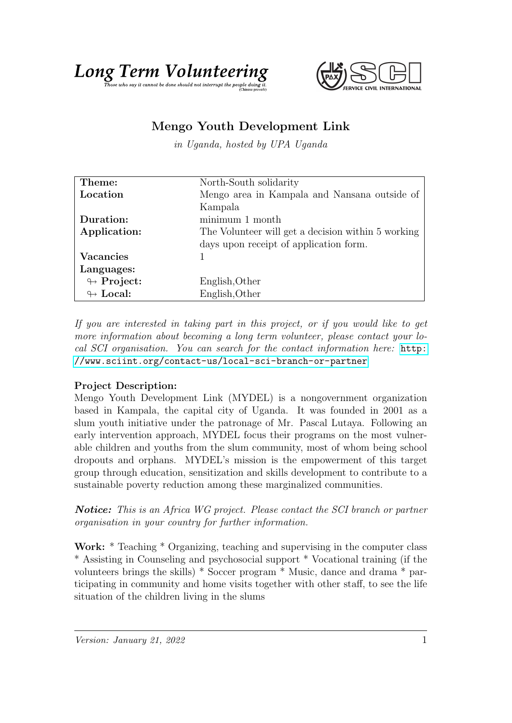



## Mengo Youth Development Link

in Uganda, hosted by UPA Uganda

| Theme:                     | North-South solidarity                             |
|----------------------------|----------------------------------------------------|
| Location                   | Mengo area in Kampala and Nansana outside of       |
|                            | Kampala                                            |
| Duration:                  | minimum 1 month                                    |
| Application:               | The Volunteer will get a decision within 5 working |
|                            | days upon receipt of application form.             |
| <b>Vacancies</b>           |                                                    |
| Languages:                 |                                                    |
| $\leftrightarrow$ Project: | English, Other                                     |
| $\leftrightarrow$ Local:   | English, Other                                     |

If you are interested in taking part in this project, or if you would like to get more information about becoming a long term volunteer, please contact your local SCI organisation. You can search for the contact information here: [http:](http://www.sciint.org/contact-us/local-sci-branch-or-partner) [//www.sciint.org/contact-us/local-sci-branch-or-partner](http://www.sciint.org/contact-us/local-sci-branch-or-partner)

## Project Description:

Mengo Youth Development Link (MYDEL) is a nongovernment organization based in Kampala, the capital city of Uganda. It was founded in 2001 as a slum youth initiative under the patronage of Mr. Pascal Lutaya. Following an early intervention approach, MYDEL focus their programs on the most vulnerable children and youths from the slum community, most of whom being school dropouts and orphans. MYDEL's mission is the empowerment of this target group through education, sensitization and skills development to contribute to a sustainable poverty reduction among these marginalized communities.

Notice: This is an Africa WG project. Please contact the SCI branch or partner organisation in your country for further information.

Work: \* Teaching \* Organizing, teaching and supervising in the computer class \* Assisting in Counseling and psychosocial support \* Vocational training (if the volunteers brings the skills) \* Soccer program \* Music, dance and drama \* participating in community and home visits together with other staff, to see the life situation of the children living in the slums